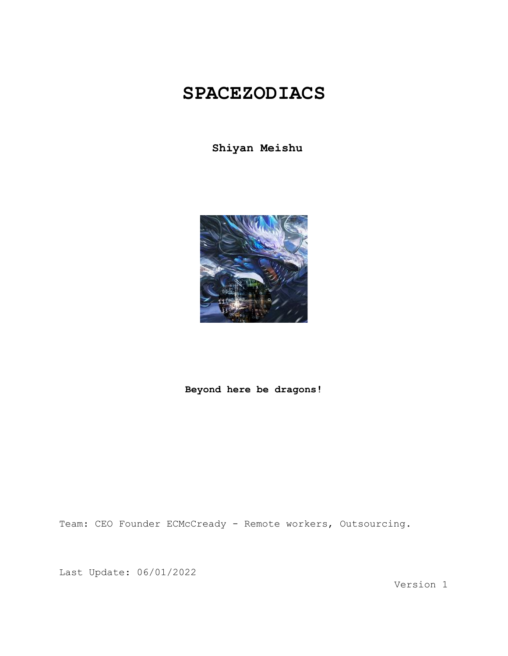## **SPACEZODIACS**

**Shiyan Meishu**



## **Beyond here be dragons!**

Team: CEO Founder ECMcCready - Remote workers, Outsourcing.

Last Update: 06/01/2022

Version 1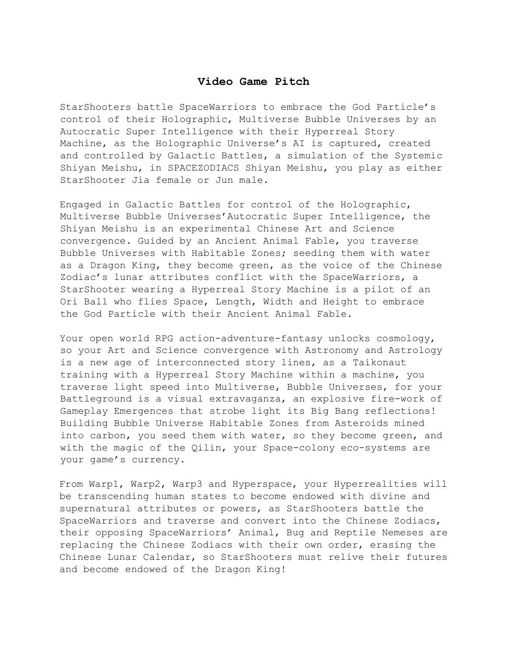## **Video Game Pitch**

StarShooters battle SpaceWarriors to embrace the God Particle's control of their Holographic, Multiverse Bubble Universes by an Autocratic Super Intelligence with their Hyperreal Story Machine, as the Holographic Universe's AI is captured, created and controlled by Galactic Battles, a simulation of the Systemic Shiyan Meishu, in SPACEZODIACS Shiyan Meishu, you play as either StarShooter Jia female or Jun male.

Engaged in Galactic Battles for control of the Holographic, Multiverse Bubble Universes'Autocratic Super Intelligence, the Shiyan Meishu is an experimental Chinese Art and Science convergence. Guided by an Ancient Animal Fable, you traverse Bubble Universes with Habitable Zones; seeding them with water as a Dragon King, they become green, as the voice of the Chinese Zodiac's lunar attributes conflict with the SpaceWarriors, a StarShooter wearing a Hyperreal Story Machine is a pilot of an Ori Ball who flies Space, Length, Width and Height to embrace the God Particle with their Ancient Animal Fable.

Your open world RPG action-adventure-fantasy unlocks cosmology, so your Art and Science convergence with Astronomy and Astrology is a new age of interconnected story lines, as a Taikonaut training with a Hyperreal Story Machine within a machine, you traverse light speed into Multiverse, Bubble Universes, for your Battleground is a visual extravaganza, an explosive fire-work of Gameplay Emergences that strobe light its Big Bang reflections! Building Bubble Universe Habitable Zones from Asteroids mined into carbon, you seed them with water, so they become green, and with the magic of the Qilin, your Space-colony eco-systems are your game's currency.

From Warp1, Warp2, Warp3 and Hyperspace, your Hyperrealities will be transcending human states to become endowed with divine and supernatural attributes or powers, as StarShooters battle the SpaceWarriors and traverse and convert into the Chinese Zodiacs, their opposing SpaceWarriors' Animal, Bug and Reptile Nemeses are replacing the Chinese Zodiacs with their own order, erasing the Chinese Lunar Calendar, so StarShooters must relive their futures and become endowed of the Dragon King!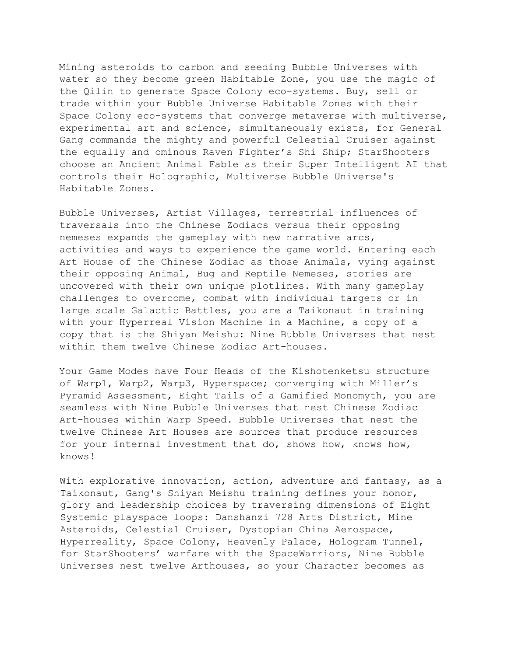Mining asteroids to carbon and seeding Bubble Universes with water so they become green Habitable Zone, you use the magic of the Qilin to generate Space Colony eco-systems. Buy, sell or trade within your Bubble Universe Habitable Zones with their Space Colony eco-systems that converge metaverse with multiverse, experimental art and science, simultaneously exists, for General Gang commands the mighty and powerful Celestial Cruiser against the equally and ominous Raven Fighter's Shi Ship; StarShooters choose an Ancient Animal Fable as their Super Intelligent AI that controls their Holographic, Multiverse Bubble Universe's Habitable Zones.

Bubble Universes, Artist Villages, terrestrial influences of traversals into the Chinese Zodiacs versus their opposing nemeses expands the gameplay with new narrative arcs, activities and ways to experience the game world. Entering each Art House of the Chinese Zodiac as those Animals, vying against their opposing Animal, Bug and Reptile Nemeses, stories are uncovered with their own unique plotlines. With many gameplay challenges to overcome, combat with individual targets or in large scale Galactic Battles, you are a Taikonaut in training with your Hyperreal Vision Machine in a Machine, a copy of a copy that is the Shiyan Meishu: Nine Bubble Universes that nest within them twelve Chinese Zodiac Art-houses.

Your Game Modes have Four Heads of the Kishotenketsu structure of Warp1, Warp2, Warp3, Hyperspace; converging with Miller's Pyramid Assessment, Eight Tails of a Gamified Monomyth, you are seamless with Nine Bubble Universes that nest Chinese Zodiac Art-houses within Warp Speed. Bubble Universes that nest the twelve Chinese Art Houses are sources that produce resources for your internal investment that do, shows how, knows how, knows!

With explorative innovation, action, adventure and fantasy, as a Taikonaut, Gang's Shiyan Meishu training defines your honor, glory and leadership choices by traversing dimensions of Eight Systemic playspace loops: Danshanzi 728 Arts District, Mine Asteroids, Celestial Cruiser, Dystopian China Aerospace, Hyperreality, Space Colony, Heavenly Palace, Hologram Tunnel, for StarShooters' warfare with the SpaceWarriors, Nine Bubble Universes nest twelve Arthouses, so your Character becomes as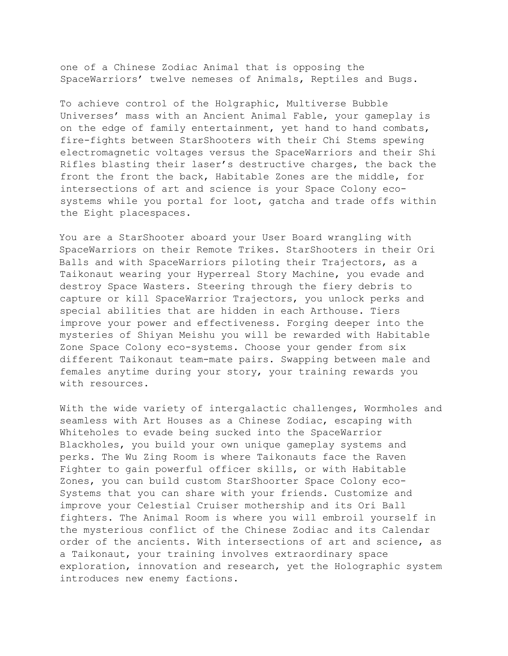one of a Chinese Zodiac Animal that is opposing the SpaceWarriors' twelve nemeses of Animals, Reptiles and Bugs.

To achieve control of the Holgraphic, Multiverse Bubble Universes' mass with an Ancient Animal Fable, your gameplay is on the edge of family entertainment, yet hand to hand combats, fire-fights between StarShooters with their Chi Stems spewing electromagnetic voltages versus the SpaceWarriors and their Shi Rifles blasting their laser's destructive charges, the back the front the front the back, Habitable Zones are the middle, for intersections of art and science is your Space Colony ecosystems while you portal for loot, gatcha and trade offs within the Eight placespaces.

You are a StarShooter aboard your User Board wrangling with SpaceWarriors on their Remote Trikes. StarShooters in their Ori Balls and with SpaceWarriors piloting their Trajectors, as a Taikonaut wearing your Hyperreal Story Machine, you evade and destroy Space Wasters. Steering through the fiery debris to capture or kill SpaceWarrior Trajectors, you unlock perks and special abilities that are hidden in each Arthouse. Tiers improve your power and effectiveness. Forging deeper into the mysteries of Shiyan Meishu you will be rewarded with Habitable Zone Space Colony eco-systems. Choose your gender from six different Taikonaut team-mate pairs. Swapping between male and females anytime during your story, your training rewards you with resources.

With the wide variety of intergalactic challenges, Wormholes and seamless with Art Houses as a Chinese Zodiac, escaping with Whiteholes to evade being sucked into the SpaceWarrior Blackholes, you build your own unique gameplay systems and perks. The Wu Zing Room is where Taikonauts face the Raven Fighter to gain powerful officer skills, or with Habitable Zones, you can build custom StarShoorter Space Colony eco-Systems that you can share with your friends. Customize and improve your Celestial Cruiser mothership and its Ori Ball fighters. The Animal Room is where you will embroil yourself in the mysterious conflict of the Chinese Zodiac and its Calendar order of the ancients. With intersections of art and science, as a Taikonaut, your training involves extraordinary space exploration, innovation and research, yet the Holographic system introduces new enemy factions.